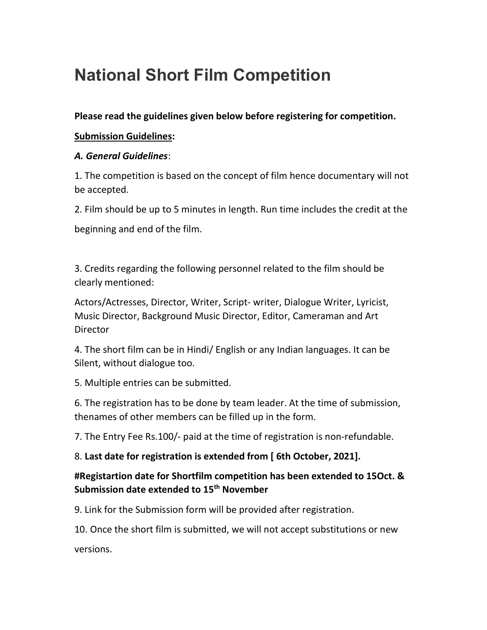# National Short Film Competition

## Please read the guidelines given below before registering for competition.

#### Submission Guidelines:

#### A. General Guidelines:

1. The competition is based on the concept of film hence documentary will not be accepted.

2. Film should be up to 5 minutes in length. Run time includes the credit at the

beginning and end of the film.

3. Credits regarding the following personnel related to the film should be clearly mentioned:

Actors/Actresses, Director, Writer, Script- writer, Dialogue Writer, Lyricist, Music Director, Background Music Director, Editor, Cameraman and Art **Director** 

4. The short film can be in Hindi/ English or any Indian languages. It can be Silent, without dialogue too.

5. Multiple entries can be submitted.

6. The registration has to be done by team leader. At the time of submission, thenames of other members can be filled up in the form.

7. The Entry Fee Rs.100/- paid at the time of registration is non-refundable.

## 8. Last date for registration is extended from [ 6th October, 2021].

## #Registartion date for Shortfilm competition has been extended to 15Oct. & Submission date extended to 15<sup>th</sup> November

9. Link for the Submission form will be provided after registration.

10. Once the short film is submitted, we will not accept substitutions or new

versions.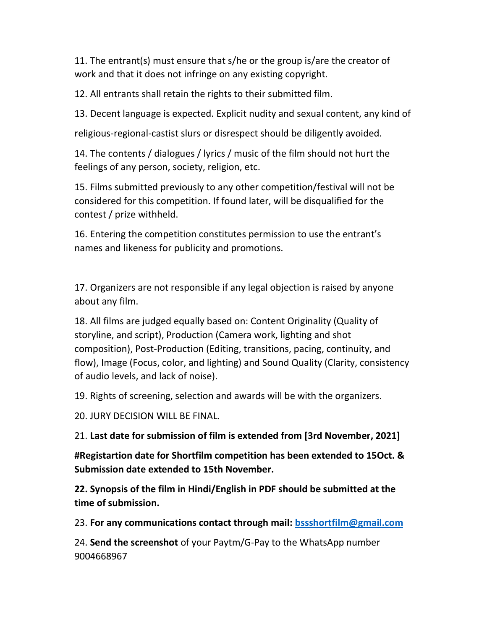11. The entrant(s) must ensure that s/he or the group is/are the creator of work and that it does not infringe on any existing copyright.

12. All entrants shall retain the rights to their submitted film.

13. Decent language is expected. Explicit nudity and sexual content, any kind of

religious-regional-castist slurs or disrespect should be diligently avoided.

14. The contents / dialogues / lyrics / music of the film should not hurt the feelings of any person, society, religion, etc.

15. Films submitted previously to any other competition/festival will not be considered for this competition. If found later, will be disqualified for the contest / prize withheld.

16. Entering the competition constitutes permission to use the entrant's names and likeness for publicity and promotions.

17. Organizers are not responsible if any legal objection is raised by anyone about any film.

18. All films are judged equally based on: Content Originality (Quality of storyline, and script), Production (Camera work, lighting and shot composition), Post-Production (Editing, transitions, pacing, continuity, and flow), Image (Focus, color, and lighting) and Sound Quality (Clarity, consistency of audio levels, and lack of noise).

19. Rights of screening, selection and awards will be with the organizers.

20. JURY DECISION WILL BE FINAL.

21. Last date for submission of film is extended from [3rd November, 2021]

#Registartion date for Shortfilm competition has been extended to 15Oct. & Submission date extended to 15th November.

22. Synopsis of the film in Hindi/English in PDF should be submitted at the time of submission.

23. For any communications contact through mail: bssshortfilm@gmail.com

24. Send the screenshot of your Paytm/G-Pay to the WhatsApp number 9004668967